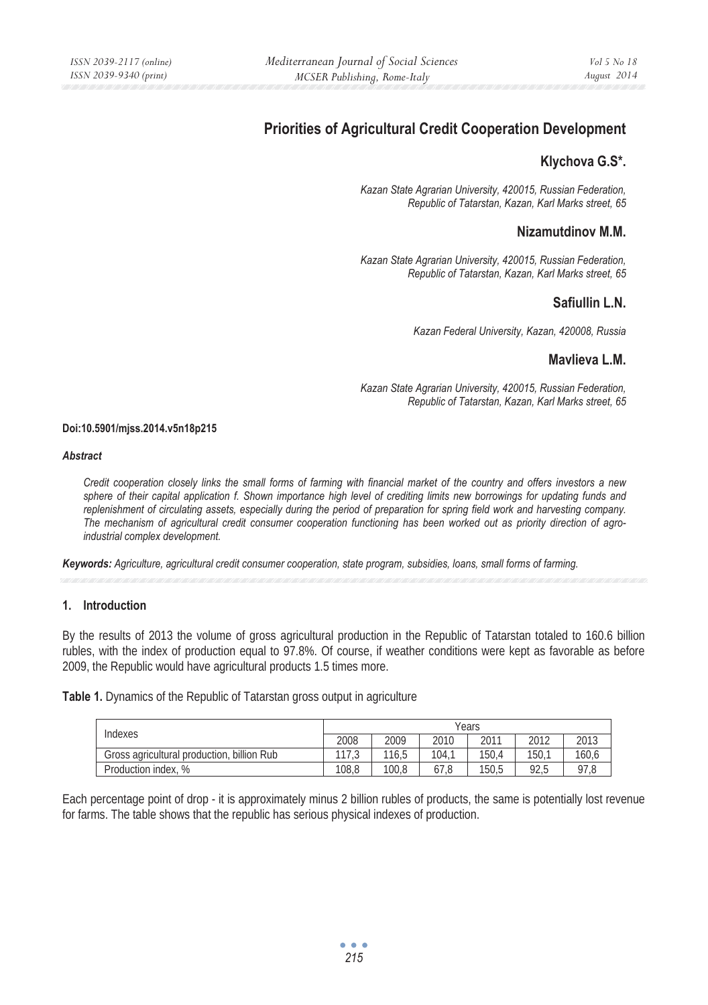# **Priorities of Agricultural Credit Cooperation Development**

# **Klychova G.S\*.**

*Kazan State Agrarian University, 420015, Russian Federation, Republic of Tatarstan, Kazan, Karl Marks street, 65* 

# **Nizamutdinov M.M.**

*Kazan State Agrarian University, 420015, Russian Federation, Republic of Tatarstan, Kazan, Karl Marks street, 65* 

# **Safiullin L.N.**

*Kazan Federal University, Kazan, 420008, Russia* 

# **Mavlieva L.M.**

*Kazan State Agrarian University, 420015, Russian Federation, Republic of Tatarstan, Kazan, Karl Marks street, 65* 

#### **Doi:10.5901/mjss.2014.v5n18p215**

#### *Abstract*

*Credit cooperation closely links the small forms of farming with financial market of the country and offers investors a new sphere of their capital application f. Shown importance high level of crediting limits new borrowings for updating funds and replenishment of circulating assets, especially during the period of preparation for spring field work and harvesting company. The mechanism of agricultural credit consumer cooperation functioning has been worked out as priority direction of agroindustrial complex development.* 

*Keywords: Agriculture, agricultural credit consumer cooperation, state program, subsidies, loans, small forms of farming.*

#### **1. Introduction**

By the results of 2013 the volume of gross agricultural production in the Republic of Tatarstan totaled to 160.6 billion rubles, with the index of production equal to 97.8%. Of course, if weather conditions were kept as favorable as before 2009, the Republic would have agricultural products 1.5 times more.

**Table 1.** Dynamics of the Republic of Tatarstan gross output in agriculture

| Indexes                                       | Years         |       |       |       |      |       |
|-----------------------------------------------|---------------|-------|-------|-------|------|-------|
|                                               | 2008          | 2009  | 2010  | 2011  | 2012 | 2013  |
| billion Rub<br>Gross agricultural production. | 1170<br>ن ، ا | 116.5 | 104.1 | 150.4 | 150. | 160,6 |
| Production index, %                           | 108.8         | 100.8 | 67.8  | 150.5 | 92.5 | 97,8  |

Each percentage point of drop - it is approximately minus 2 billion rubles of products, the same is potentially lost revenue for farms. The table shows that the republic has serious physical indexes of production.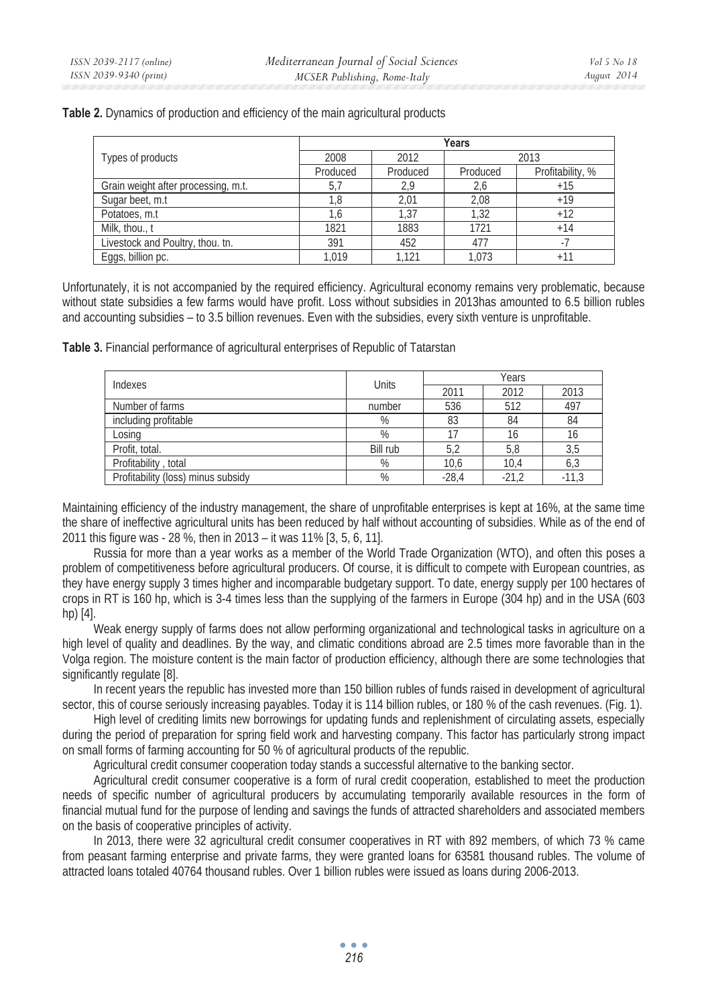| Table 2. Dynamics of production and efficiency of the main agricultural products |  |
|----------------------------------------------------------------------------------|--|
|----------------------------------------------------------------------------------|--|

|                                     | Years    |          |          |                  |  |
|-------------------------------------|----------|----------|----------|------------------|--|
| Types of products                   | 2008     | 2012     | 2013     |                  |  |
|                                     | Produced | Produced | Produced | Profitability, % |  |
| Grain weight after processing, m.t. | 5,7      | 2.9      | 2,6      | $+15$            |  |
| Sugar beet, m.t.                    | 1.8      | 2.01     | 2.08     | $+19$            |  |
| Potatoes, m.t.                      | 1.6      | 1.37     | 1.32     | $+12$            |  |
| Milk, thou., t                      | 1821     | 1883     | 1721     | $+14$            |  |
| Livestock and Poultry, thou. tn.    | 391      | 452      | 477      |                  |  |
| Eggs, billion pc.                   | 1.019    | 1.121    | 1.073    | $+11$            |  |

Unfortunately, it is not accompanied by the required efficiency. Agricultural economy remains very problematic, because without state subsidies a few farms would have profit. Loss without subsidies in 2013has amounted to 6.5 billion rubles and accounting subsidies – to 3.5 billion revenues. Even with the subsidies, every sixth venture is unprofitable.

**Table 3.** Financial performance of agricultural enterprises of Republic of Tatarstan

| Indexes                            | Units    | Years   |         |         |  |
|------------------------------------|----------|---------|---------|---------|--|
|                                    |          | 2011    | 2012    | 2013    |  |
| Number of farms                    | number   | 536     | 512     | 497     |  |
| including profitable               | %        | 83      | 84      | 84      |  |
| Losing                             | %        |         |         | 16      |  |
| Profit, total.                     | Bill rub | 5,2     | 5,8     | 3,5     |  |
| Profitability, total               | %        | 10,6    | 10.4    | 6,3     |  |
| Profitability (loss) minus subsidy | %        | $-28.4$ | $-21,2$ | $-11.3$ |  |

Maintaining efficiency of the industry management, the share of unprofitable enterprises is kept at 16%, at the same time the share of ineffective agricultural units has been reduced by half without accounting of subsidies. While as of the end of 2011 this figure was - 28 %, then in 2013 – it was 11% [3, 5, 6, 11].

Russia for more than a year works as a member of the World Trade Organization (WTO), and often this poses a problem of competitiveness before agricultural producers. Of course, it is difficult to compete with European countries, as they have energy supply 3 times higher and incomparable budgetary support. To date, energy supply per 100 hectares of crops in RT is 160 hp, which is 3-4 times less than the supplying of the farmers in Europe (304 hp) and in the USA (603 hp) [4].

Weak energy supply of farms does not allow performing organizational and technological tasks in agriculture on a high level of quality and deadlines. By the way, and climatic conditions abroad are 2.5 times more favorable than in the Volga region. The moisture content is the main factor of production efficiency, although there are some technologies that significantly regulate [8].

In recent years the republic has invested more than 150 billion rubles of funds raised in development of agricultural sector, this of course seriously increasing payables. Today it is 114 billion rubles, or 180 % of the cash revenues. (Fig. 1).

High level of crediting limits new borrowings for updating funds and replenishment of circulating assets, especially during the period of preparation for spring field work and harvesting company. This factor has particularly strong impact on small forms of farming accounting for 50 % of agricultural products of the republic.

Agricultural credit consumer cooperation today stands a successful alternative to the banking sector.

Agricultural credit consumer cooperative is a form of rural credit cooperation, established to meet the production needs of specific number of agricultural producers by accumulating temporarily available resources in the form of financial mutual fund for the purpose of lending and savings the funds of attracted shareholders and associated members on the basis of cooperative principles of activity.

In 2013, there were 32 agricultural credit consumer cooperatives in RT with 892 members, of which 73 % came from peasant farming enterprise and private farms, they were granted loans for 63581 thousand rubles. The volume of attracted loans totaled 40764 thousand rubles. Over 1 billion rubles were issued as loans during 2006-2013.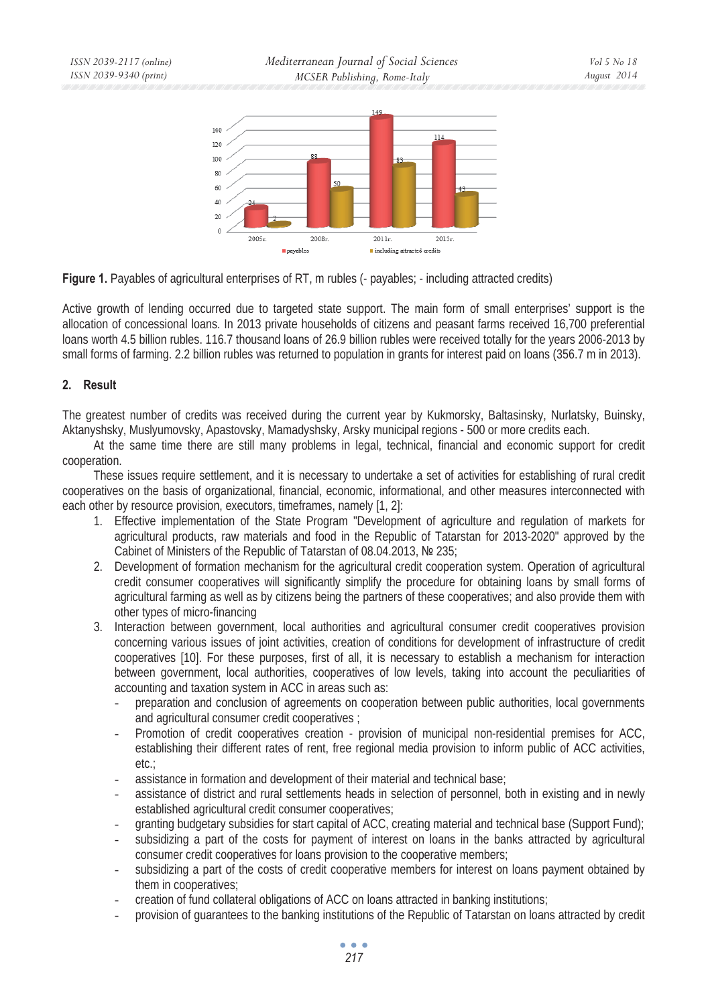

**Figure 1.** Payables of agricultural enterprises of RT, m rubles (- payables; - including attracted credits)

Active growth of lending occurred due to targeted state support. The main form of small enterprises' support is the allocation of concessional loans. In 2013 private households of citizens and peasant farms received 16,700 preferential loans worth 4.5 billion rubles. 116.7 thousand loans of 26.9 billion rubles were received totally for the years 2006-2013 by small forms of farming. 2.2 billion rubles was returned to population in grants for interest paid on loans (356.7 m in 2013).

#### **2. Result**

The greatest number of credits was received during the current year by Kukmorsky, Baltasinsky, Nurlatsky, Buinsky, Aktanyshsky, Muslyumovsky, Apastovsky, Mamadyshsky, Arsky municipal regions - 500 or more credits each.

At the same time there are still many problems in legal, technical, financial and economic support for credit cooperation.

These issues require settlement, and it is necessary to undertake a set of activities for establishing of rural credit cooperatives on the basis of organizational, financial, economic, informational, and other measures interconnected with each other by resource provision, executors, timeframes, namely [1, 2]:

- 1. Effective implementation of the State Program "Development of agriculture and regulation of markets for agricultural products, raw materials and food in the Republic of Tatarstan for 2013-2020" approved by the Cabinet of Ministers of the Republic of Tatarstan of 08.04.2013, № 235;
- 2. Development of formation mechanism for the agricultural credit cooperation system. Operation of agricultural credit consumer cooperatives will significantly simplify the procedure for obtaining loans by small forms of agricultural farming as well as by citizens being the partners of these cooperatives; and also provide them with other types of micro-financing
- 3. Interaction between government, local authorities and agricultural consumer credit cooperatives provision concerning various issues of joint activities, creation of conditions for development of infrastructure of credit cooperatives [10]. For these purposes, first of all, it is necessary to establish a mechanism for interaction between government, local authorities, cooperatives of low levels, taking into account the peculiarities of accounting and taxation system in ACC in areas such as:
	- preparation and conclusion of agreements on cooperation between public authorities, local governments and agricultural consumer credit cooperatives ;
	- Promotion of credit cooperatives creation provision of municipal non-residential premises for ACC, establishing their different rates of rent, free regional media provision to inform public of ACC activities, etc.;
	- assistance in formation and development of their material and technical base;
	- assistance of district and rural settlements heads in selection of personnel, both in existing and in newly established agricultural credit consumer cooperatives;
	- granting budgetary subsidies for start capital of ACC, creating material and technical base (Support Fund);
	- subsidizing a part of the costs for payment of interest on loans in the banks attracted by agricultural consumer credit cooperatives for loans provision to the cooperative members;
	- subsidizing a part of the costs of credit cooperative members for interest on loans payment obtained by them in cooperatives;
	- creation of fund collateral obligations of ACC on loans attracted in banking institutions;
	- provision of guarantees to the banking institutions of the Republic of Tatarstan on loans attracted by credit